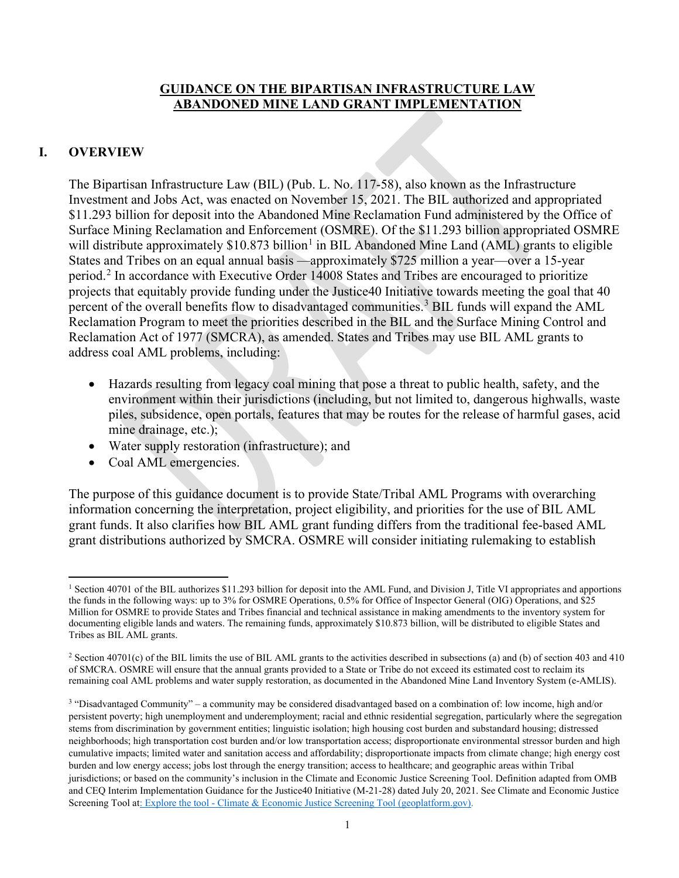### **GUIDANCE ON THE BIPARTISAN INFRASTRUCTURE LAW ABANDONED MINE LAND GRANT IMPLEMENTATION**

### **I. OVERVIEW**

The Bipartisan Infrastructure Law (BIL) (Pub. L. No. 117-58), also known as the Infrastructure Investment and Jobs Act, was enacted on November 15, 2021. The BIL authorized and appropriated \$11.293 billion for deposit into the Abandoned Mine Reclamation Fund administered by the Office of Surface Mining Reclamation and Enforcement (OSMRE). Of the \$11.293 billion appropriated OSMRE will distribute approximately \$[1](#page-0-0)0.873 billion<sup>1</sup> in BIL Abandoned Mine Land (AML) grants to eligible States and Tribes on an equal annual basis —approximately \$725 million a year—over a 15-year period.[2](#page-0-1) In accordance with Executive Order 14008 States and Tribes are encouraged to prioritize projects that equitably provide funding under the Justice40 Initiative towards meeting the goal that 40 percent of the overall benefits flow to disadvantaged communities.<sup>[3](#page-0-2)</sup> BIL funds will expand the AML Reclamation Program to meet the priorities described in the BIL and the Surface Mining Control and Reclamation Act of 1977 (SMCRA), as amended. States and Tribes may use BIL AML grants to address coal AML problems, including:

- Hazards resulting from legacy coal mining that pose a threat to public health, safety, and the environment within their jurisdictions (including, but not limited to, dangerous highwalls, waste piles, subsidence, open portals, features that may be routes for the release of harmful gases, acid mine drainage, etc.);
- Water supply restoration (infrastructure); and
- Coal AML emergencies.

The purpose of this guidance document is to provide State/Tribal AML Programs with overarching information concerning the interpretation, project eligibility, and priorities for the use of BIL AML grant funds. It also clarifies how BIL AML grant funding differs from the traditional fee-based AML grant distributions authorized by SMCRA. OSMRE will consider initiating rulemaking to establish

<span id="page-0-0"></span><sup>&</sup>lt;sup>1</sup> Section 40701 of the BIL authorizes \$11.293 billion for deposit into the AML Fund, and Division J, Title VI appropriates and apportions the funds in the following ways: up to 3% for OSMRE Operations, 0.5% for Office of Inspector General (OIG) Operations, and \$25 Million for OSMRE to provide States and Tribes financial and technical assistance in making amendments to the inventory system for documenting eligible lands and waters. The remaining funds, approximately \$10.873 billion, will be distributed to eligible States and Tribes as BIL AML grants.

<span id="page-0-1"></span><sup>&</sup>lt;sup>2</sup> Section 40701(c) of the BIL limits the use of BIL AML grants to the activities described in subsections (a) and (b) of section 403 and 410 of SMCRA. OSMRE will ensure that the annual grants provided to a State or Tribe do not exceed its estimated cost to reclaim its remaining coal AML problems and water supply restoration, as documented in the Abandoned Mine Land Inventory System (e-AMLIS).

<span id="page-0-2"></span><sup>3</sup> "Disadvantaged Community" – a community may be considered disadvantaged based on a combination of: low income, high and/or persistent poverty; high unemployment and underemployment; racial and ethnic residential segregation, particularly where the segregation stems from discrimination by government entities; linguistic isolation; high housing cost burden and substandard housing; distressed neighborhoods; high transportation cost burden and/or low transportation access; disproportionate environmental stressor burden and high cumulative impacts; limited water and sanitation access and affordability; disproportionate impacts from climate change; high energy cost burden and low energy access; jobs lost through the energy transition; access to healthcare; and geographic areas within Tribal jurisdictions; or based on the community's inclusion in the Climate and Economic Justice Screening Tool. Definition adapted from OMB and CEQ Interim Implementation Guidance for the Justice40 Initiative (M-21-28) dated July 20, 2021. See Climate and Economic Justice Screening Tool at: Explore the tool - [Climate & Economic Justice Screening Tool \(geoplatform.gov\).](https://screeningtool.geoplatform.gov/en/#3/33.47/-97.5)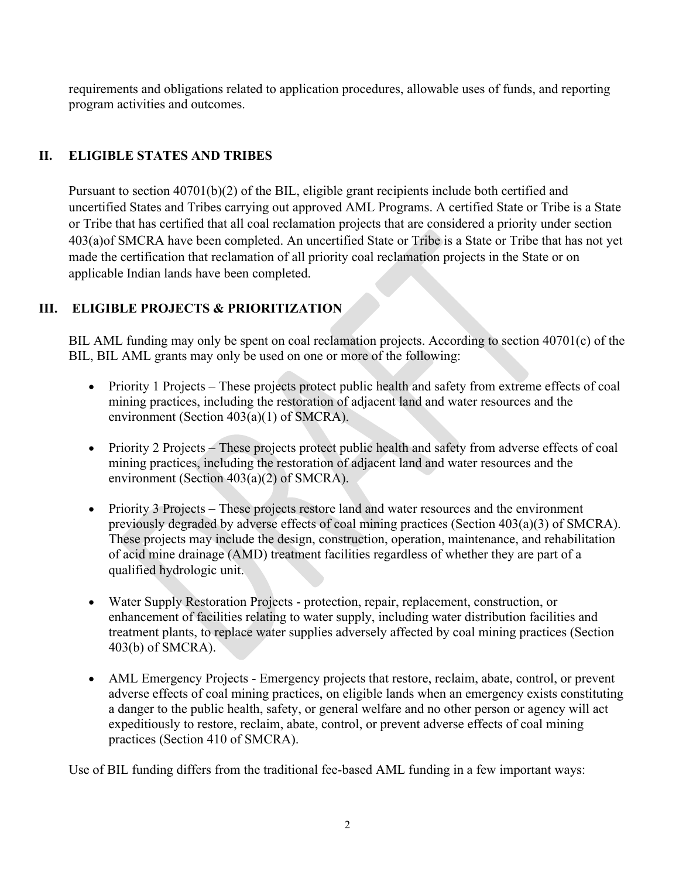requirements and obligations related to application procedures, allowable uses of funds, and reporting program activities and outcomes.

## **II. ELIGIBLE STATES AND TRIBES**

Pursuant to section 40701(b)(2) of the BIL, eligible grant recipients include both certified and uncertified States and Tribes carrying out approved AML Programs. A certified State or Tribe is a State or Tribe that has certified that all coal reclamation projects that are considered a priority under section 403(a)of SMCRA have been completed. An uncertified State or Tribe is a State or Tribe that has not yet made the certification that reclamation of all priority coal reclamation projects in the State or on applicable Indian lands have been completed.

## **III. ELIGIBLE PROJECTS & PRIORITIZATION**

BIL AML funding may only be spent on coal reclamation projects. According to section 40701(c) of the BIL, BIL AML grants may only be used on one or more of the following:

- Priority 1 Projects These projects protect public health and safety from extreme effects of coal mining practices, including the restoration of adjacent land and water resources and the environment (Section 403(a)(1) of SMCRA).
- Priority 2 Projects These projects protect public health and safety from adverse effects of coal mining practices, including the restoration of adjacent land and water resources and the environment (Section 403(a)(2) of SMCRA).
- Priority 3 Projects These projects restore land and water resources and the environment previously degraded by adverse effects of coal mining practices (Section 403(a)(3) of SMCRA). These projects may include the design, construction, operation, maintenance, and rehabilitation of acid mine drainage (AMD) treatment facilities regardless of whether they are part of a qualified hydrologic unit.
- Water Supply Restoration Projects protection, repair, replacement, construction, or enhancement of facilities relating to water supply, including water distribution facilities and treatment plants, to replace water supplies adversely affected by coal mining practices (Section 403(b) of SMCRA).
- AML Emergency Projects Emergency projects that restore, reclaim, abate, control, or prevent adverse effects of coal mining practices, on eligible lands when an emergency exists constituting a danger to the public health, safety, or general welfare and no other person or agency will act expeditiously to restore, reclaim, abate, control, or prevent adverse effects of coal mining practices (Section 410 of SMCRA).

Use of BIL funding differs from the traditional fee-based AML funding in a few important ways: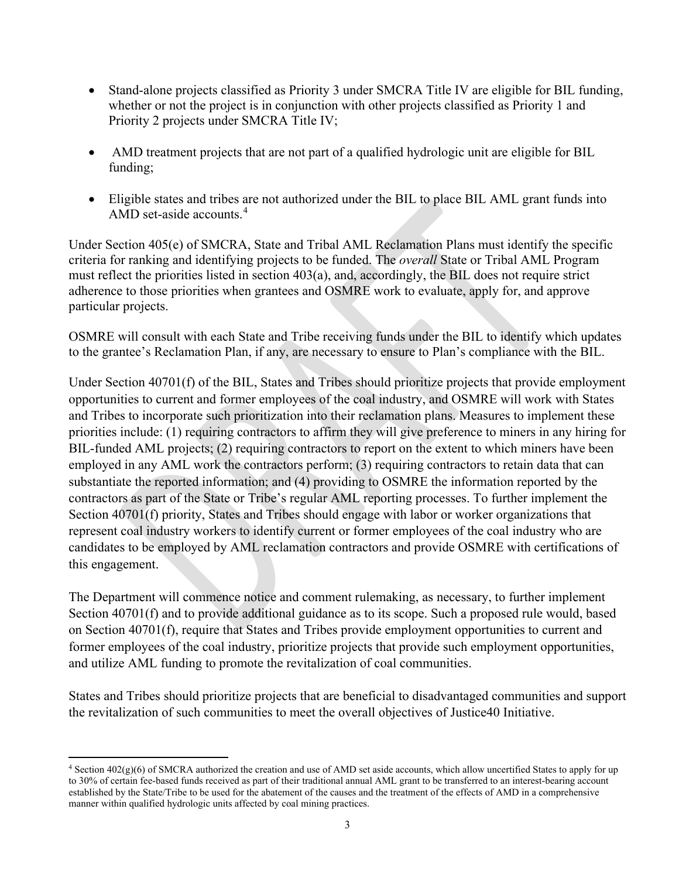- Stand-alone projects classified as Priority 3 under SMCRA Title IV are eligible for BIL funding, whether or not the project is in conjunction with other projects classified as Priority 1 and Priority 2 projects under SMCRA Title IV;
- AMD treatment projects that are not part of a qualified hydrologic unit are eligible for BIL funding;
- Eligible states and tribes are not authorized under the BIL to place BIL AML grant funds into AMD set-aside accounts.<sup>[4](#page-2-0)</sup>

Under Section 405(e) of SMCRA, State and Tribal AML Reclamation Plans must identify the specific criteria for ranking and identifying projects to be funded. The *overall* State or Tribal AML Program must reflect the priorities listed in section 403(a), and, accordingly, the BIL does not require strict adherence to those priorities when grantees and OSMRE work to evaluate, apply for, and approve particular projects.

OSMRE will consult with each State and Tribe receiving funds under the BIL to identify which updates to the grantee's Reclamation Plan, if any, are necessary to ensure to Plan's compliance with the BIL.

Under Section 40701(f) of the BIL, States and Tribes should prioritize projects that provide employment opportunities to current and former employees of the coal industry, and OSMRE will work with States and Tribes to incorporate such prioritization into their reclamation plans. Measures to implement these priorities include: (1) requiring contractors to affirm they will give preference to miners in any hiring for BIL-funded AML projects; (2) requiring contractors to report on the extent to which miners have been employed in any AML work the contractors perform; (3) requiring contractors to retain data that can substantiate the reported information; and (4) providing to OSMRE the information reported by the contractors as part of the State or Tribe's regular AML reporting processes. To further implement the Section 40701(f) priority, States and Tribes should engage with labor or worker organizations that represent coal industry workers to identify current or former employees of the coal industry who are candidates to be employed by AML reclamation contractors and provide OSMRE with certifications of this engagement.

The Department will commence notice and comment rulemaking, as necessary, to further implement Section 40701(f) and to provide additional guidance as to its scope. Such a proposed rule would, based on Section 40701(f), require that States and Tribes provide employment opportunities to current and former employees of the coal industry, prioritize projects that provide such employment opportunities, and utilize AML funding to promote the revitalization of coal communities.

States and Tribes should prioritize projects that are beneficial to disadvantaged communities and support the revitalization of such communities to meet the overall objectives of Justice40 Initiative.

<span id="page-2-0"></span><sup>4</sup> Section 402(g)(6) of SMCRA authorized the creation and use of AMD set aside accounts, which allow uncertified States to apply for up to 30% of certain fee-based funds received as part of their traditional annual AML grant to be transferred to an interest-bearing account established by the State/Tribe to be used for the abatement of the causes and the treatment of the effects of AMD in a comprehensive manner within qualified hydrologic units affected by coal mining practices.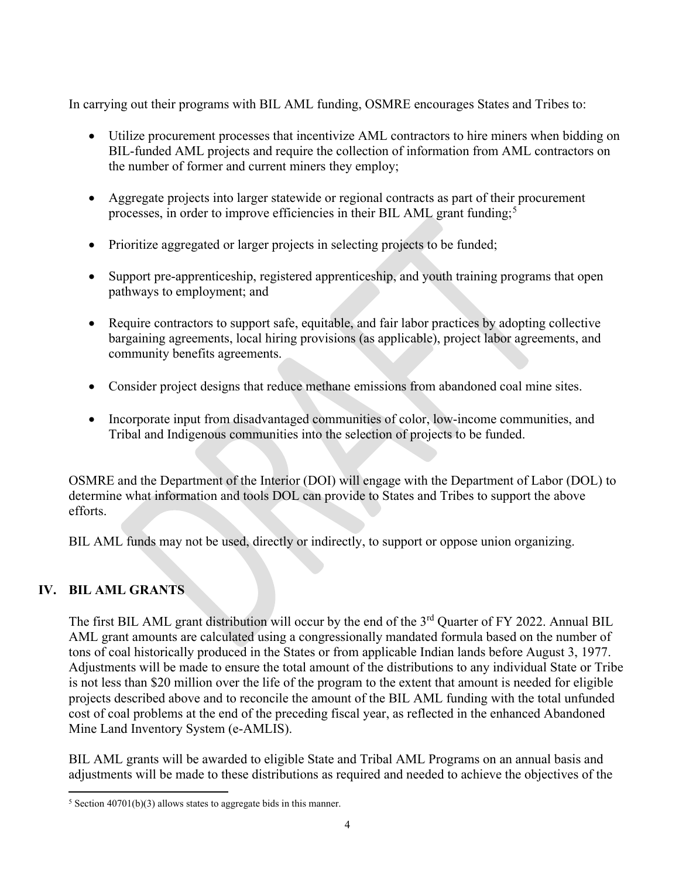In carrying out their programs with BIL AML funding, OSMRE encourages States and Tribes to:

- Utilize procurement processes that incentivize AML contractors to hire miners when bidding on BIL-funded AML projects and require the collection of information from AML contractors on the number of former and current miners they employ;
- Aggregate projects into larger statewide or regional contracts as part of their procurement processes, in order to improve efficiencies in their BIL AML grant funding;<sup>[5](#page-3-0)</sup>
- Prioritize aggregated or larger projects in selecting projects to be funded;
- Support pre-apprenticeship, registered apprenticeship, and youth training programs that open pathways to employment; and
- Require contractors to support safe, equitable, and fair labor practices by adopting collective bargaining agreements, local hiring provisions (as applicable), project labor agreements, and community benefits agreements.
- Consider project designs that reduce methane emissions from abandoned coal mine sites.
- Incorporate input from disadvantaged communities of color, low-income communities, and Tribal and Indigenous communities into the selection of projects to be funded.

OSMRE and the Department of the Interior (DOI) will engage with the Department of Labor (DOL) to determine what information and tools DOL can provide to States and Tribes to support the above efforts.

BIL AML funds may not be used, directly or indirectly, to support or oppose union organizing.

# **IV. BIL AML GRANTS**

The first BIL AML grant distribution will occur by the end of the 3<sup>rd</sup> Quarter of FY 2022. Annual BIL AML grant amounts are calculated using a congressionally mandated formula based on the number of tons of coal historically produced in the States or from applicable Indian lands before August 3, 1977. Adjustments will be made to ensure the total amount of the distributions to any individual State or Tribe is not less than \$20 million over the life of the program to the extent that amount is needed for eligible projects described above and to reconcile the amount of the BIL AML funding with the total unfunded cost of coal problems at the end of the preceding fiscal year, as reflected in the enhanced Abandoned Mine Land Inventory System (e-AMLIS).

BIL AML grants will be awarded to eligible State and Tribal AML Programs on an annual basis and adjustments will be made to these distributions as required and needed to achieve the objectives of the

<span id="page-3-0"></span> $5$  Section 40701(b)(3) allows states to aggregate bids in this manner.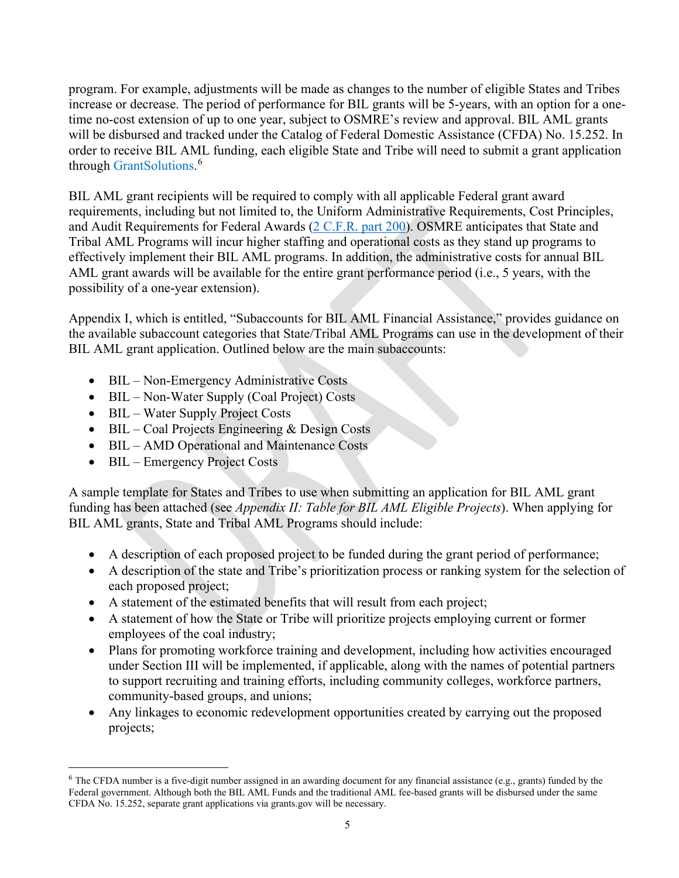program. For example, adjustments will be made as changes to the number of eligible States and Tribes increase or decrease. The period of performance for BIL grants will be 5-years, with an option for a onetime no-cost extension of up to one year, subject to OSMRE's review and approval. BIL AML grants will be disbursed and tracked under the Catalog of Federal Domestic Assistance (CFDA) No. 15.252. In order to receive BIL AML funding, each eligible State and Tribe will need to submit a grant application through GrantSolutions.<sup>[6](#page-4-0)</sup>

BIL AML grant recipients will be required to comply with all applicable Federal grant award requirements, including but not limited to, the Uniform Administrative Requirements, Cost Principles, and Audit Requirements for Federal Awards [\(2 C.F.R.](https://www.ecfr.gov/current/title-2/subtitle-A/chapter-II/part-200) part 200). OSMRE anticipates that State and Tribal AML Programs will incur higher staffing and operational costs as they stand up programs to effectively implement their BIL AML programs. In addition, the administrative costs for annual BIL AML grant awards will be available for the entire grant performance period (i.e., 5 years, with the possibility of a one-year extension).

Appendix I, which is entitled, "Subaccounts for BIL AML Financial Assistance," provides guidance on the available subaccount categories that State/Tribal AML Programs can use in the development of their BIL AML grant application. Outlined below are the main subaccounts:

- BIL Non-Emergency Administrative Costs
- BIL Non-Water Supply (Coal Project) Costs
- BIL Water Supply Project Costs
- BIL Coal Projects Engineering & Design Costs
- BIL AMD Operational and Maintenance Costs
- BIL Emergency Project Costs

A sample template for States and Tribes to use when submitting an application for BIL AML grant funding has been attached (see *Appendix II: Table for BIL AML Eligible Projects*). When applying for BIL AML grants, State and Tribal AML Programs should include:

- A description of each proposed project to be funded during the grant period of performance;
- A description of the state and Tribe's prioritization process or ranking system for the selection of each proposed project;
- A statement of the estimated benefits that will result from each project;
- A statement of how the State or Tribe will prioritize projects employing current or former employees of the coal industry;
- Plans for promoting workforce training and development, including how activities encouraged under Section III will be implemented, if applicable, along with the names of potential partners to support recruiting and training efforts, including community colleges, workforce partners, community-based groups, and unions;
- Any linkages to economic redevelopment opportunities created by carrying out the proposed projects;

<span id="page-4-0"></span> $6$  The CFDA number is a five-digit number assigned in an awarding document for any financial assistance (e.g., grants) funded by the Federal government. Although both the BIL AML Funds and the traditional AML fee-based grants will be disbursed under the same CFDA No. 15.252, separate grant applications via grants.gov will be necessary.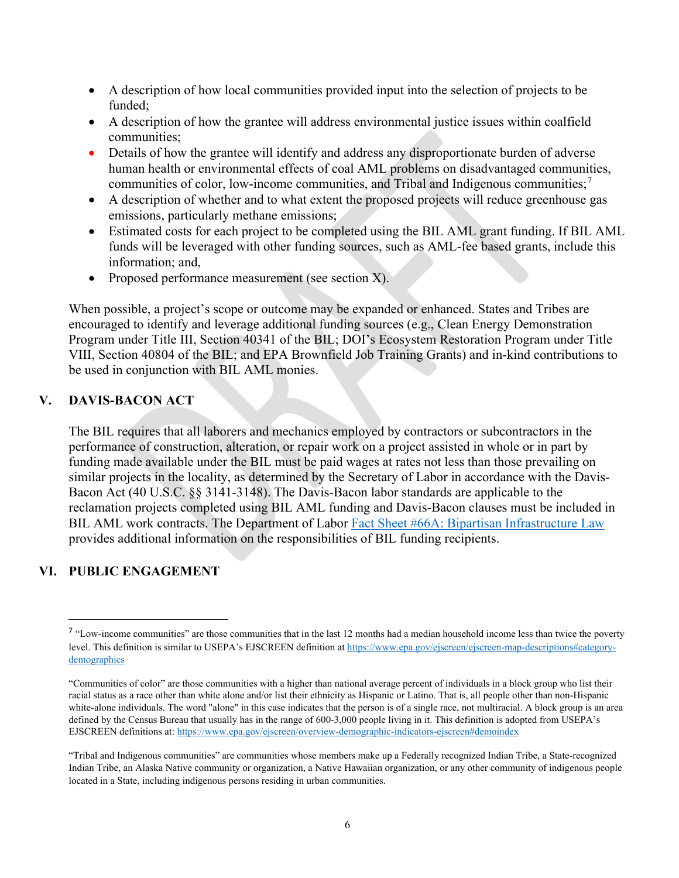- A description of how local communities provided input into the selection of projects to be funded;
- A description of how the grantee will address environmental justice issues within coalfield communities;
- Details of how the grantee will identify and address any disproportionate burden of adverse human health or environmental effects of coal AML problems on disadvantaged communities, communities of color, low-income communities, and Tribal and Indigenous communities;<sup>[7](#page-5-0)</sup>
- A description of whether and to what extent the proposed projects will reduce greenhouse gas emissions, particularly methane emissions;
- Estimated costs for each project to be completed using the BIL AML grant funding. If BIL AML funds will be leveraged with other funding sources, such as AML-fee based grants, include this information; and,
- Proposed performance measurement (see section X).

When possible, a project's scope or outcome may be expanded or enhanced. States and Tribes are encouraged to identify and leverage additional funding sources (e.g., Clean Energy Demonstration Program under Title III, Section 40341 of the BIL; DOI's Ecosystem Restoration Program under Title VIII, Section 40804 of the BIL; and EPA Brownfield Job Training Grants) and in-kind contributions to be used in conjunction with BIL AML monies.

### **V. DAVIS-BACON ACT**

The BIL requires that all laborers and mechanics employed by contractors or subcontractors in the performance of construction, alteration, or repair work on a project assisted in whole or in part by funding made available under the BIL must be paid wages at rates not less than those prevailing on similar projects in the locality, as determined by the Secretary of Labor in accordance with the Davis-Bacon Act (40 U.S.C. §§ 3141-3148). The Davis-Bacon labor standards are applicable to the reclamation projects completed using BIL AML funding and Davis-Bacon clauses must be included in BIL AML work contracts. The Department of Labor [Fact Sheet #66A: Bipartisan Infrastructure Law](https://www.dol.gov/agencies/whd/fact-sheets/66a) provides additional information on the responsibilities of BIL funding recipients.

### **VI. PUBLIC ENGAGEMENT**

<span id="page-5-0"></span><sup>&</sup>lt;sup>7</sup> "Low-income communities" are those communities that in the last 12 months had a median household income less than twice the poverty level. This definition is similar to USEPA's EJSCREEN definition at [https://www.epa.gov/ejscreen/ejscreen-map-descriptions#category](https://www.epa.gov/ejscreen/ejscreen-map-descriptions#category-demographics)[demographics](https://www.epa.gov/ejscreen/ejscreen-map-descriptions#category-demographics)

<sup>&</sup>quot;Communities of color" are those communities with a higher than national average percent of individuals in a block group who list their racial status as a race other than white alone and/or list their ethnicity as Hispanic or Latino. That is, all people other than non-Hispanic white-alone individuals. The word "alone" in this case indicates that the person is of a single race, not multiracial. A block group is an area defined by the Census Bureau that usually has in the range of 600-3,000 people living in it. This definition is adopted from USEPA's EJSCREEN definitions at[: https://www.epa.gov/ejscreen/overview-demographic-indicators-ejscreen#demoindex](https://www.epa.gov/ejscreen/overview-demographic-indicators-ejscreen#demoindex)

<sup>&</sup>quot;Tribal and Indigenous communities" are communities whose members make up a Federally recognized Indian Tribe, a State-recognized Indian Tribe, an Alaska Native community or organization, a Native Hawaiian organization, or any other community of indigenous people located in a State, including indigenous persons residing in urban communities.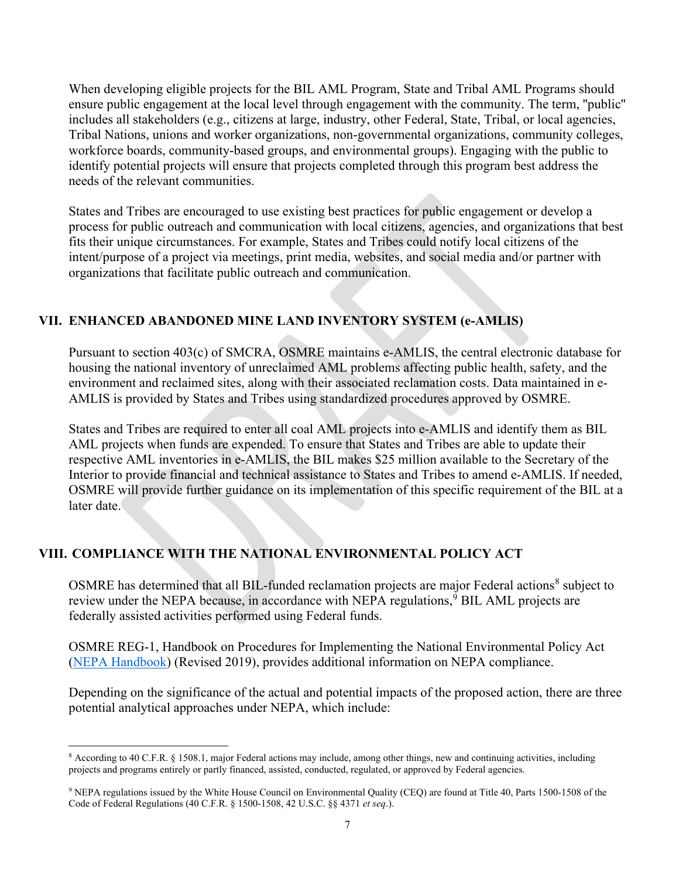When developing eligible projects for the BIL AML Program, State and Tribal AML Programs should ensure public engagement at the local level through engagement with the community. The term, ''public'' includes all stakeholders (e.g., citizens at large, industry, other Federal, State, Tribal, or local agencies, Tribal Nations, unions and worker organizations, non-governmental organizations, community colleges, workforce boards, community-based groups, and environmental groups). Engaging with the public to identify potential projects will ensure that projects completed through this program best address the needs of the relevant communities.

States and Tribes are encouraged to use existing best practices for public engagement or develop a process for public outreach and communication with local citizens, agencies, and organizations that best fits their unique circumstances. For example, States and Tribes could notify local citizens of the intent/purpose of a project via meetings, print media, websites, and social media and/or partner with organizations that facilitate public outreach and communication.

## **VII. ENHANCED ABANDONED MINE LAND INVENTORY SYSTEM (e-AMLIS)**

Pursuant to section 403(c) of SMCRA, OSMRE maintains e-AMLIS, the central electronic database for housing the national inventory of unreclaimed AML problems affecting public health, safety, and the environment and reclaimed sites, along with their associated reclamation costs. Data maintained in e-AMLIS is provided by States and Tribes using standardized procedures approved by OSMRE.

States and Tribes are required to enter all coal AML projects into e-AMLIS and identify them as BIL AML projects when funds are expended. To ensure that States and Tribes are able to update their respective AML inventories in e-AMLIS, the BIL makes \$25 million available to the Secretary of the Interior to provide financial and technical assistance to States and Tribes to amend e-AMLIS. If needed, OSMRE will provide further guidance on its implementation of this specific requirement of the BIL at a later date.

## **VIII. COMPLIANCE WITH THE NATIONAL ENVIRONMENTAL POLICY ACT**

OSMRE has determined that all BIL-funded reclamation projects are major Federal actions<sup>[8](#page-6-0)</sup> subject to review under the NEPA because, in accordance with NEPA regulations, [9](#page-6-1) BIL AML projects are federally assisted activities performed using Federal funds.

OSMRE REG-1, Handbook on Procedures for Implementing the National Environmental Policy Act [\(NEPA Handbook\)](https://www.osmre.gov/laws-and-regulations/nepa) (Revised 2019), provides additional information on NEPA compliance.

Depending on the significance of the actual and potential impacts of the proposed action, there are three potential analytical approaches under NEPA, which include:

<span id="page-6-0"></span><sup>8</sup> According to 40 C.F.R. § 1508.1, major Federal actions may include, among other things, new and continuing activities, including projects and programs entirely or partly financed, assisted, conducted, regulated, or approved by Federal agencies.

<span id="page-6-1"></span><sup>9</sup> NEPA regulations issued by the White House Council on Environmental Quality (CEQ) are found at Title 40, Parts 1500-1508 of the Code of Federal Regulations (40 C.F.R. § 1500-1508, 42 U.S.C. §§ 4371 *et seq*.).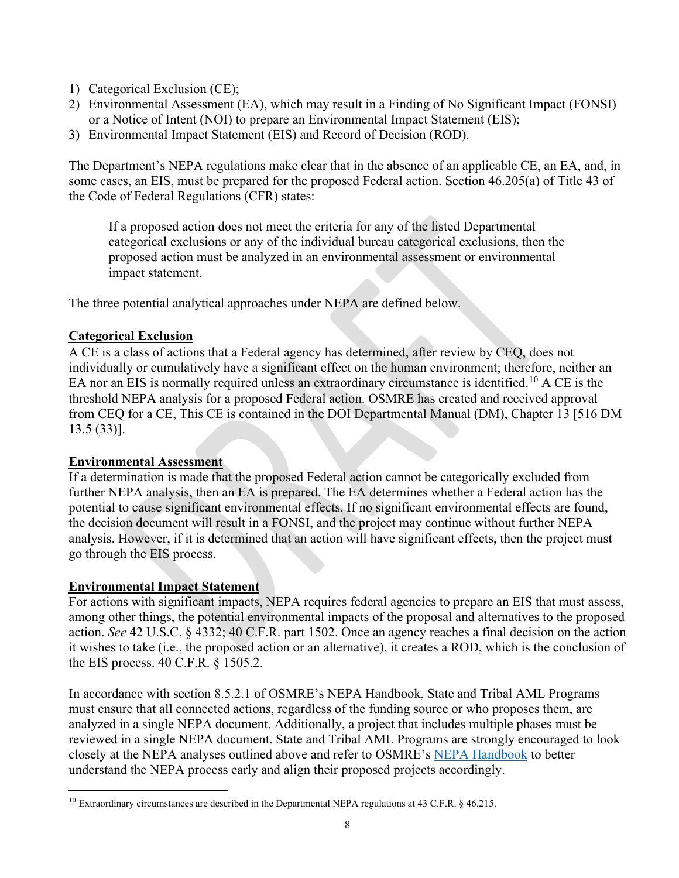- 1) Categorical Exclusion (CE);
- 2) Environmental Assessment (EA), which may result in a Finding of No Significant Impact (FONSI) or a Notice of Intent (NOI) to prepare an Environmental Impact Statement (EIS);
- 3) Environmental Impact Statement (EIS) and Record of Decision (ROD).

The Department's NEPA regulations make clear that in the absence of an applicable CE, an EA, and, in some cases, an EIS, must be prepared for the proposed Federal action. Section 46.205(a) of Title 43 of the Code of Federal Regulations (CFR) states:

If a proposed action does not meet the criteria for any of the listed Departmental categorical exclusions or any of the individual bureau categorical exclusions, then the proposed action must be analyzed in an environmental assessment or environmental impact statement.

The three potential analytical approaches under NEPA are defined below.

## **Categorical Exclusion**

A CE is a class of actions that a Federal agency has determined, after review by CEQ, does not individually or cumulatively have a significant effect on the human environment; therefore, neither an EA nor an EIS is normally required unless an extraordinary circumstance is identified.<sup>[10](#page-7-0)</sup> A CE is the threshold NEPA analysis for a proposed Federal action. OSMRE has created and received approval from CEQ for a CE, This CE is contained in the DOI Departmental Manual (DM), Chapter 13 [516 DM 13.5 (33)].

### **Environmental Assessment**

If a determination is made that the proposed Federal action cannot be categorically excluded from further NEPA analysis, then an EA is prepared. The EA determines whether a Federal action has the potential to cause significant environmental effects. If no significant environmental effects are found, the decision document will result in a FONSI, and the project may continue without further NEPA analysis. However, if it is determined that an action will have significant effects, then the project must go through the EIS process.

### **Environmental Impact Statement**

For actions with significant impacts, NEPA requires federal agencies to prepare an EIS that must assess, among other things, the potential environmental impacts of the proposal and alternatives to the proposed action. *See* 42 U.S.C. § 4332; 40 C.F.R. part 1502. Once an agency reaches a final decision on the action it wishes to take (i.e., the proposed action or an alternative), it creates a ROD, which is the conclusion of the EIS process. 40 C.F.R. § 1505.2.

In accordance with section 8.5.2.1 of OSMRE's NEPA Handbook, State and Tribal AML Programs must ensure that all connected actions, regardless of the funding source or who proposes them, are analyzed in a single NEPA document. Additionally, a project that includes multiple phases must be reviewed in a single NEPA document. State and Tribal AML Programs are strongly encouraged to look closely at the NEPA analyses outlined above and refer to OSMRE's [NEPA Handbook](https://www.osmre.gov/laws-and-regulations/nepa) to better understand the NEPA process early and align their proposed projects accordingly.

<span id="page-7-0"></span><sup>&</sup>lt;sup>10</sup> Extraordinary circumstances are described in the Departmental NEPA regulations at 43 C.F.R. § 46.215.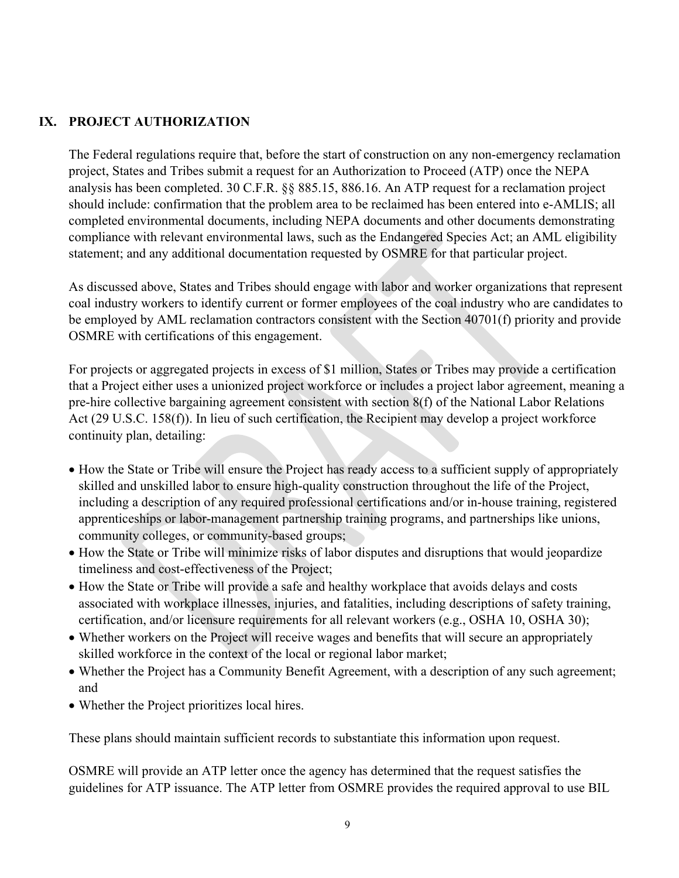## **IX. PROJECT AUTHORIZATION**

The Federal regulations require that, before the start of construction on any non-emergency reclamation project, States and Tribes submit a request for an Authorization to Proceed (ATP) once the NEPA analysis has been completed. 30 C.F.R. §§ 885.15, 886.16. An ATP request for a reclamation project should include: confirmation that the problem area to be reclaimed has been entered into e-AMLIS; all completed environmental documents, including NEPA documents and other documents demonstrating compliance with relevant environmental laws, such as the Endangered Species Act; an AML eligibility statement; and any additional documentation requested by OSMRE for that particular project.

As discussed above, States and Tribes should engage with labor and worker organizations that represent coal industry workers to identify current or former employees of the coal industry who are candidates to be employed by AML reclamation contractors consistent with the Section 40701(f) priority and provide OSMRE with certifications of this engagement.

For projects or aggregated projects in excess of \$1 million, States or Tribes may provide a certification that a Project either uses a unionized project workforce or includes a project labor agreement, meaning a pre-hire collective bargaining agreement consistent with section 8(f) of the National Labor Relations Act (29 U.S.C. 158(f)). In lieu of such certification, the Recipient may develop a project workforce continuity plan, detailing:

- How the State or Tribe will ensure the Project has ready access to a sufficient supply of appropriately skilled and unskilled labor to ensure high-quality construction throughout the life of the Project, including a description of any required professional certifications and/or in-house training, registered apprenticeships or labor-management partnership training programs, and partnerships like unions, community colleges, or community-based groups;
- How the State or Tribe will minimize risks of labor disputes and disruptions that would jeopardize timeliness and cost-effectiveness of the Project;
- How the State or Tribe will provide a safe and healthy workplace that avoids delays and costs associated with workplace illnesses, injuries, and fatalities, including descriptions of safety training, certification, and/or licensure requirements for all relevant workers (e.g., OSHA 10, OSHA 30);
- Whether workers on the Project will receive wages and benefits that will secure an appropriately skilled workforce in the context of the local or regional labor market;
- Whether the Project has a Community Benefit Agreement, with a description of any such agreement; and
- Whether the Project prioritizes local hires.

These plans should maintain sufficient records to substantiate this information upon request.

OSMRE will provide an ATP letter once the agency has determined that the request satisfies the guidelines for ATP issuance. The ATP letter from OSMRE provides the required approval to use BIL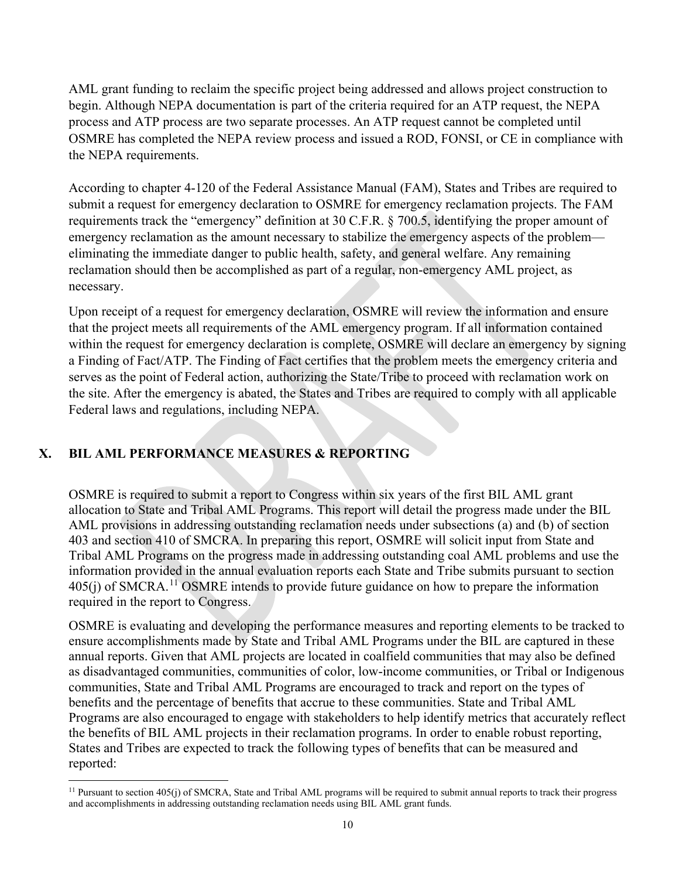AML grant funding to reclaim the specific project being addressed and allows project construction to begin. Although NEPA documentation is part of the criteria required for an ATP request, the NEPA process and ATP process are two separate processes. An ATP request cannot be completed until OSMRE has completed the NEPA review process and issued a ROD, FONSI, or CE in compliance with the NEPA requirements.

According to chapter 4-120 of the Federal Assistance Manual (FAM), States and Tribes are required to submit a request for emergency declaration to OSMRE for emergency reclamation projects. The FAM requirements track the "emergency" definition at 30 C.F.R. § 700.5, identifying the proper amount of emergency reclamation as the amount necessary to stabilize the emergency aspects of the problem eliminating the immediate danger to public health, safety, and general welfare. Any remaining reclamation should then be accomplished as part of a regular, non-emergency AML project, as necessary.

Upon receipt of a request for emergency declaration, OSMRE will review the information and ensure that the project meets all requirements of the AML emergency program. If all information contained within the request for emergency declaration is complete, OSMRE will declare an emergency by signing a Finding of Fact/ATP. The Finding of Fact certifies that the problem meets the emergency criteria and serves as the point of Federal action, authorizing the State/Tribe to proceed with reclamation work on the site. After the emergency is abated, the States and Tribes are required to comply with all applicable Federal laws and regulations, including NEPA.

# **X. BIL AML PERFORMANCE MEASURES & REPORTING**

OSMRE is required to submit a report to Congress within six years of the first BIL AML grant allocation to State and Tribal AML Programs. This report will detail the progress made under the BIL AML provisions in addressing outstanding reclamation needs under subsections (a) and (b) of section 403 and section 410 of SMCRA. In preparing this report, OSMRE will solicit input from State and Tribal AML Programs on the progress made in addressing outstanding coal AML problems and use the information provided in the annual evaluation reports each State and Tribe submits pursuant to section  $405(j)$  of SMCRA.<sup>[11](#page-9-0)</sup> OSMRE intends to provide future guidance on how to prepare the information required in the report to Congress.

OSMRE is evaluating and developing the performance measures and reporting elements to be tracked to ensure accomplishments made by State and Tribal AML Programs under the BIL are captured in these annual reports. Given that AML projects are located in coalfield communities that may also be defined as disadvantaged communities, communities of color, low-income communities, or Tribal or Indigenous communities, State and Tribal AML Programs are encouraged to track and report on the types of benefits and the percentage of benefits that accrue to these communities. State and Tribal AML Programs are also encouraged to engage with stakeholders to help identify metrics that accurately reflect the benefits of BIL AML projects in their reclamation programs. In order to enable robust reporting, States and Tribes are expected to track the following types of benefits that can be measured and reported:

<span id="page-9-0"></span><sup>&</sup>lt;sup>11</sup> Pursuant to section 405(j) of SMCRA, State and Tribal AML programs will be required to submit annual reports to track their progress and accomplishments in addressing outstanding reclamation needs using BIL AML grant funds.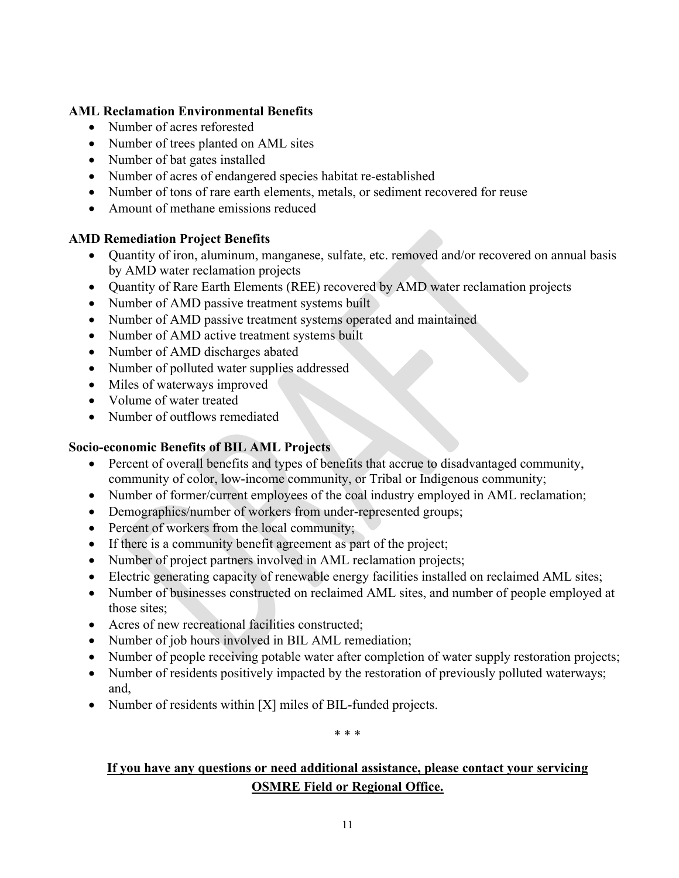### **AML Reclamation Environmental Benefits**

- Number of acres reforested
- Number of trees planted on AML sites
- Number of bat gates installed
- Number of acres of endangered species habitat re-established
- Number of tons of rare earth elements, metals, or sediment recovered for reuse
- Amount of methane emissions reduced

### **AMD Remediation Project Benefits**

- Quantity of iron, aluminum, manganese, sulfate, etc. removed and/or recovered on annual basis by AMD water reclamation projects
- Quantity of Rare Earth Elements (REE) recovered by AMD water reclamation projects
- Number of AMD passive treatment systems built
- Number of AMD passive treatment systems operated and maintained
- Number of AMD active treatment systems built
- Number of AMD discharges abated
- Number of polluted water supplies addressed
- Miles of waterways improved
- Volume of water treated
- Number of outflows remediated

## **Socio-economic Benefits of BIL AML Projects**

- Percent of overall benefits and types of benefits that accrue to disadvantaged community, community of color, low-income community, or Tribal or Indigenous community;
- Number of former/current employees of the coal industry employed in AML reclamation;
- Demographics/number of workers from under-represented groups;
- Percent of workers from the local community;
- If there is a community benefit agreement as part of the project;
- Number of project partners involved in AML reclamation projects;
- Electric generating capacity of renewable energy facilities installed on reclaimed AML sites;
- Number of businesses constructed on reclaimed AML sites, and number of people employed at those sites;
- Acres of new recreational facilities constructed;
- Number of job hours involved in BIL AML remediation;
- Number of people receiving potable water after completion of water supply restoration projects;
- Number of residents positively impacted by the restoration of previously polluted waterways; and,
- Number of residents within [X] miles of BIL-funded projects.

\* \* \*

# **If you have any questions or need additional assistance, please contact your servicing OSMRE Field or Regional Office.**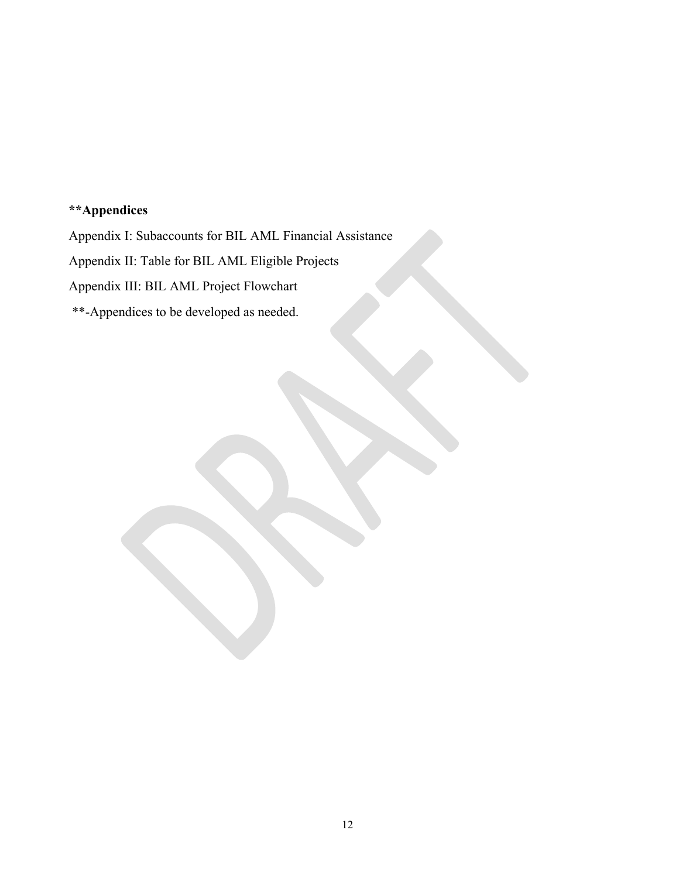# **\*\*Appendices**

Appendix I: Subaccounts for BIL AML Financial Assistance

Appendix II: Table for BIL AML Eligible Projects

Appendix III: BIL AML Project Flowchart

\*\*-Appendices to be developed as needed.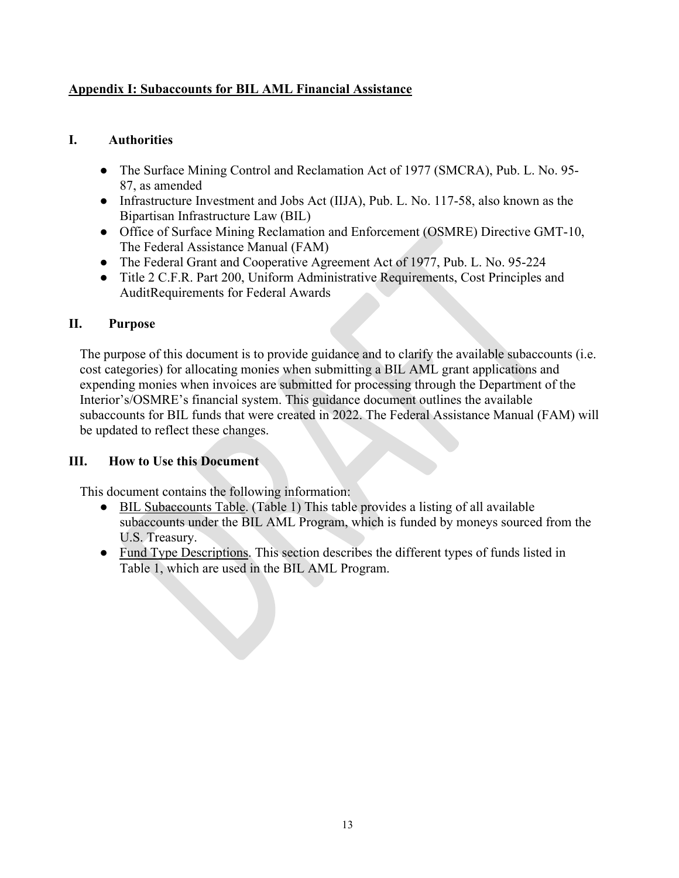## **Appendix I: Subaccounts for BIL AML Financial Assistance**

## **I. Authorities**

- The Surface Mining Control and Reclamation Act of 1977 (SMCRA), Pub. L. No. 95- 87, as amended
- Infrastructure Investment and Jobs Act (IIJA), Pub. L. No. 117-58, also known as the Bipartisan Infrastructure Law (BIL)
- Office of Surface Mining Reclamation and Enforcement (OSMRE) Directive GMT-10, The Federal Assistance Manual (FAM)
- The Federal Grant and Cooperative Agreement Act of 1977, Pub. L. No. 95-224
- Title 2 C.F.R. Part 200, Uniform Administrative Requirements, Cost Principles and AuditRequirements for Federal Awards

## **II. Purpose**

The purpose of this document is to provide guidance and to clarify the available subaccounts (i.e. cost categories) for allocating monies when submitting a BIL AML grant applications and expending monies when invoices are submitted for processing through the Department of the Interior's/OSMRE's financial system. This guidance document outlines the available subaccounts for BIL funds that were created in 2022. The Federal Assistance Manual (FAM) will be updated to reflect these changes.

### **III. How to Use this Document**

This document contains the following information:

- BIL Subaccounts Table. (Table 1) This table provides a listing of all available subaccounts under the BIL AML Program, which is funded by moneys sourced from the U.S. Treasury.
- Fund Type Descriptions. This section describes the different types of funds listed in Table 1, which are used in the BIL AML Program.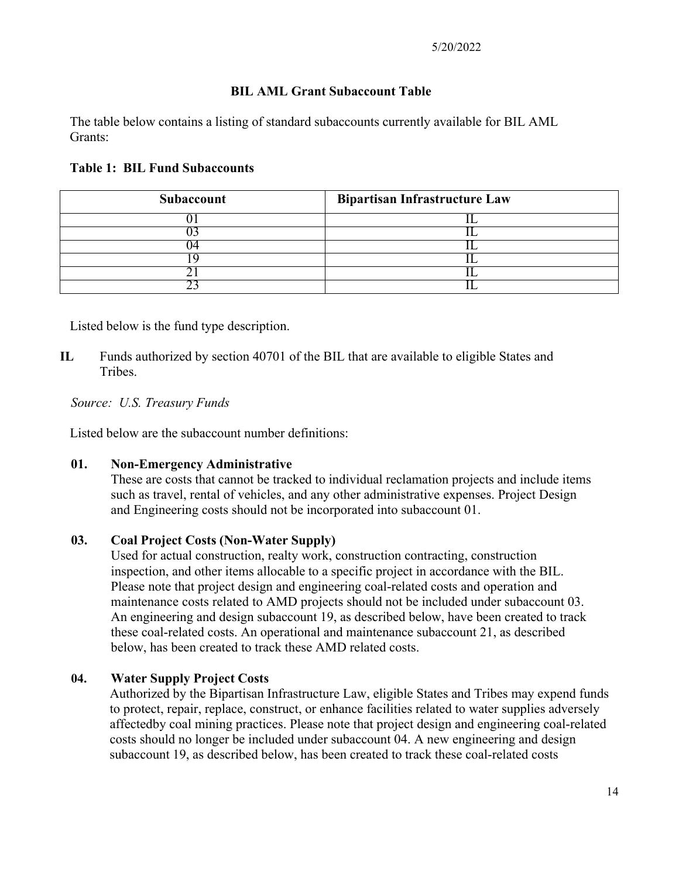### **BIL AML Grant Subaccount Table**

The table below contains a listing of standard subaccounts currently available for BIL AML Grants:

### **Table 1: BIL Fund Subaccounts**

| Subaccount | <b>Bipartisan Infrastructure Law</b> |
|------------|--------------------------------------|
|            |                                      |
|            |                                      |
|            |                                      |
|            |                                      |
|            |                                      |
|            |                                      |

Listed below is the fund type description.

**IL** Funds authorized by section 40701 of the BIL that are available to eligible States and Tribes.

### *Source: U.S. Treasury Funds*

Listed below are the subaccount number definitions:

### **01. Non-Emergency Administrative**

These are costs that cannot be tracked to individual reclamation projects and include items such as travel, rental of vehicles, and any other administrative expenses. Project Design and Engineering costs should not be incorporated into subaccount 01.

### **03. Coal Project Costs (Non-Water Supply)**

Used for actual construction, realty work, construction contracting, construction inspection, and other items allocable to a specific project in accordance with the BIL. Please note that project design and engineering coal-related costs and operation and maintenance costs related to AMD projects should not be included under subaccount 03. An engineering and design subaccount 19, as described below, have been created to track these coal-related costs. An operational and maintenance subaccount 21, as described below, has been created to track these AMD related costs.

### **04. Water Supply Project Costs**

Authorized by the Bipartisan Infrastructure Law, eligible States and Tribes may expend funds to protect, repair, replace, construct, or enhance facilities related to water supplies adversely affectedby coal mining practices. Please note that project design and engineering coal-related costs should no longer be included under subaccount 04. A new engineering and design subaccount 19, as described below, has been created to track these coal-related costs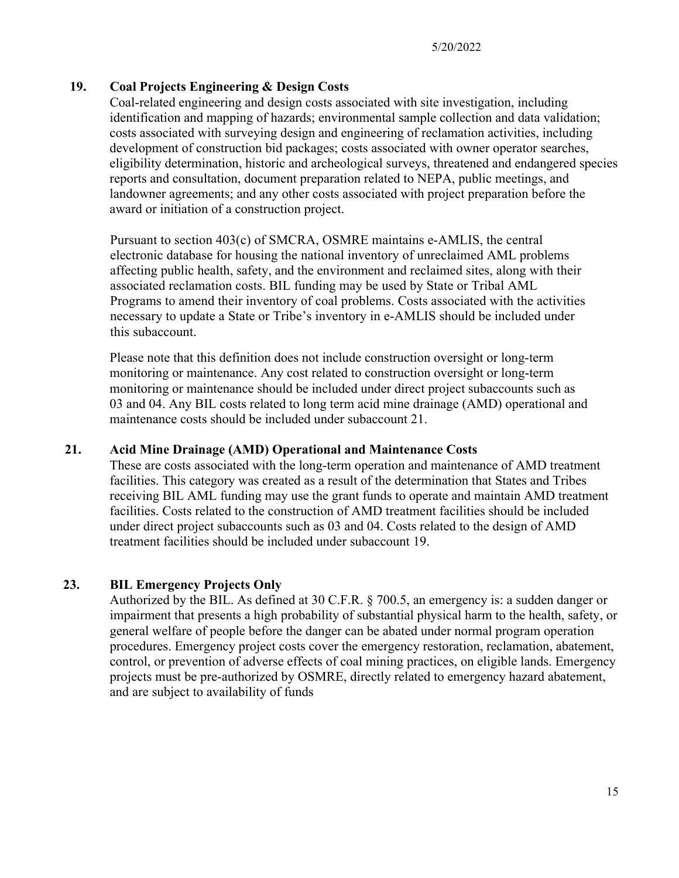### **19. Coal Projects Engineering & Design Costs**

Coal-related engineering and design costs associated with site investigation, including identification and mapping of hazards; environmental sample collection and data validation; costs associated with surveying design and engineering of reclamation activities, including development of construction bid packages; costs associated with owner operator searches, eligibility determination, historic and archeological surveys, threatened and endangered species reports and consultation, document preparation related to NEPA, public meetings, and landowner agreements; and any other costs associated with project preparation before the award or initiation of a construction project.

Pursuant to section 403(c) of SMCRA, OSMRE maintains e-AMLIS, the central electronic database for housing the national inventory of unreclaimed AML problems affecting public health, safety, and the environment and reclaimed sites, along with their associated reclamation costs. BIL funding may be used by State or Tribal AML Programs to amend their inventory of coal problems. Costs associated with the activities necessary to update a State or Tribe's inventory in e-AMLIS should be included under this subaccount.

Please note that this definition does not include construction oversight or long-term monitoring or maintenance. Any cost related to construction oversight or long-term monitoring or maintenance should be included under direct project subaccounts such as 03 and 04. Any BIL costs related to long term acid mine drainage (AMD) operational and maintenance costs should be included under subaccount 21.

### **21. Acid Mine Drainage (AMD) Operational and Maintenance Costs**

These are costs associated with the long-term operation and maintenance of AMD treatment facilities. This category was created as a result of the determination that States and Tribes receiving BIL AML funding may use the grant funds to operate and maintain AMD treatment facilities. Costs related to the construction of AMD treatment facilities should be included under direct project subaccounts such as 03 and 04. Costs related to the design of AMD treatment facilities should be included under subaccount 19.

### **23. BIL Emergency Projects Only**

Authorized by the BIL. As defined at 30 C.F.R. § 700.5, an emergency is: a sudden danger or impairment that presents a high probability of substantial physical harm to the health, safety, or general welfare of people before the danger can be abated under normal program operation procedures. Emergency project costs cover the emergency restoration, reclamation, abatement, control, or prevention of adverse effects of coal mining practices, on eligible lands. Emergency projects must be pre-authorized by OSMRE, directly related to emergency hazard abatement, and are subject to availability of funds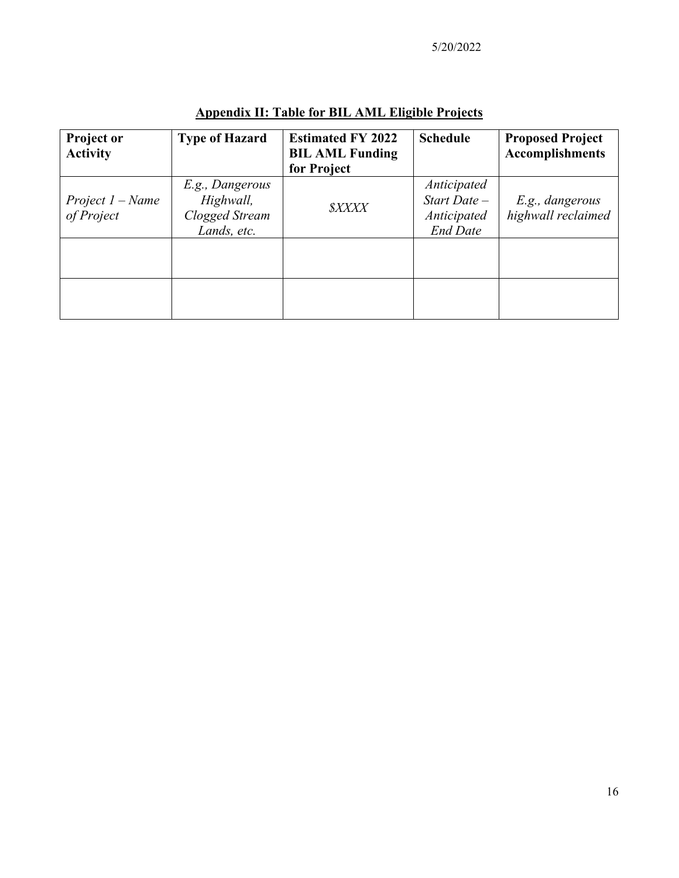| <b>Project or</b><br><b>Activity</b> | <b>Type of Hazard</b>                                         | <b>Estimated FY 2022</b><br><b>BIL AML Funding</b><br>for Project | <b>Schedule</b>                                                   | <b>Proposed Project</b><br><b>Accomplishments</b> |
|--------------------------------------|---------------------------------------------------------------|-------------------------------------------------------------------|-------------------------------------------------------------------|---------------------------------------------------|
| Project $1 - Name$<br>of Project     | E.g., Dangerous<br>Highwall,<br>Clogged Stream<br>Lands, etc. | <b>SXXXX</b>                                                      | Anticipated<br>$Start$ Date $-$<br>Anticipated<br><b>End Date</b> | E.g., dangerous<br>highwall reclaimed             |
|                                      |                                                               |                                                                   |                                                                   |                                                   |
|                                      |                                                               |                                                                   |                                                                   |                                                   |

# **Appendix II: Table for BIL AML Eligible Projects**